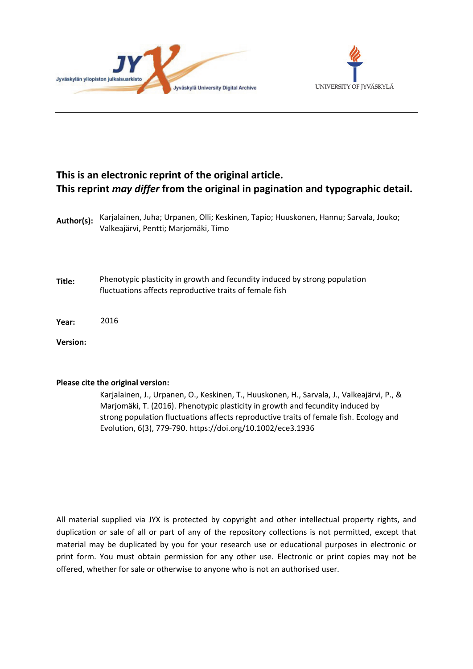



# **This is an electronic reprint of the original article. This reprint** *may differ* **from the original in pagination and typographic detail.**

| Author(s):      | Karjalainen, Juha; Urpanen, Olli; Keskinen, Tapio; Huuskonen, Hannu; Sarvala, Jouko;<br>Valkeajärvi, Pentti; Marjomäki, Timo          |
|-----------------|---------------------------------------------------------------------------------------------------------------------------------------|
| Title:          | Phenotypic plasticity in growth and fecundity induced by strong population<br>fluctuations affects reproductive traits of female fish |
| Year:           | 2016                                                                                                                                  |
| <b>Version:</b> |                                                                                                                                       |
|                 |                                                                                                                                       |

# **Please cite the original version:**

Karjalainen, J., Urpanen, O., Keskinen, T., Huuskonen, H., Sarvala, J., Valkeajärvi, P., & Marjomäki, T. (2016). Phenotypic plasticity in growth and fecundity induced by strong population fluctuations affects reproductive traits of female fish. Ecology and Evolution, 6(3), 779-790. https://doi.org/10.1002/ece3.1936

All material supplied via JYX is protected by copyright and other intellectual property rights, and duplication or sale of all or part of any of the repository collections is not permitted, except that material may be duplicated by you for your research use or educational purposes in electronic or print form. You must obtain permission for any other use. Electronic or print copies may not be offered, whether for sale or otherwise to anyone who is not an authorised user.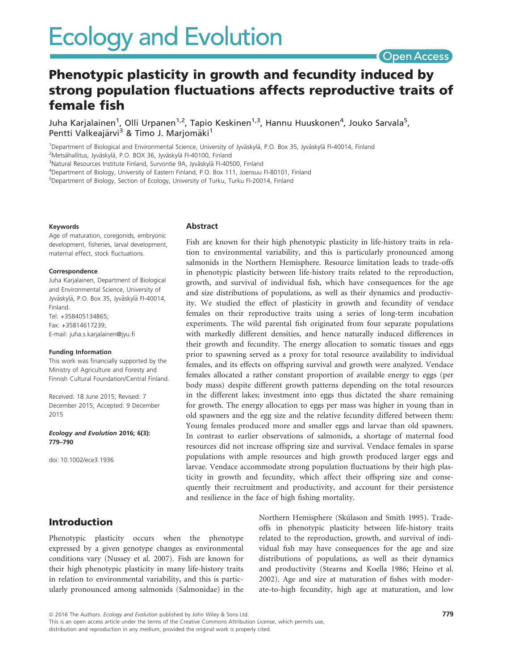# Phenotypic plasticity in growth and fecundity induced by strong population fluctuations affects reproductive traits of female fish

Juha Karjalainen<sup>1</sup>, Olli Urpanen<sup>1,2</sup>, Tapio Keskinen<sup>1,3</sup>, Hannu Huuskonen<sup>4</sup>, Jouko Sarvala<sup>5</sup>, Pentti Valkeajärvi<sup>3</sup> & Timo J. Marjomäki<sup>1</sup>

1Department of Biological and Environmental Science, University of Jyväskylä, P.O. Box 35, Jyväskylä FI-40014, Finland

<sup>2</sup>Metsähallitus, Jyväskylä, P.O. BOX 36, Jyväskylä FI-40100, Finland

<sup>3</sup>Natural Resources Institute Finland, Survontie 9A, Jyväskylä FI-40500, Finland

4 Department of Biology, University of Eastern Finland, P.O. Box 111, Joensuu FI-80101, Finland

5 Department of Biology, Section of Ecology, University of Turku, Turku FI-20014, Finland

#### Keywords

Age of maturation, coregonids, embryonic development, fisheries, larval development, maternal effect, stock fluctuations.

#### Correspondence

Juha Karjalainen, Department of Biological and Environmental Science, University of Jyväskylä, P.O. Box 35, Jyväskylä FI-40014, Finland. Tel: +358405134865; Fax: +35814617239; E-mail: juha.s.karjalainen@jyu.fi

#### Funding Information

This work was financially supported by the Ministry of Agriculture and Foresty and Finnish Cultural Foundation/Central Finland.

Received: 18 June 2015; Revised: 7 December 2015; Accepted: 9 December 2015

Ecology and Evolution 2016; 6(3): 779–790

doi: 10.1002/ece3.1936

#### Abstract

Fish are known for their high phenotypic plasticity in life-history traits in relation to environmental variability, and this is particularly pronounced among salmonids in the Northern Hemisphere. Resource limitation leads to trade-offs in phenotypic plasticity between life-history traits related to the reproduction, growth, and survival of individual fish, which have consequences for the age and size distributions of populations, as well as their dynamics and productivity. We studied the effect of plasticity in growth and fecundity of vendace females on their reproductive traits using a series of long-term incubation experiments. The wild parental fish originated from four separate populations with markedly different densities, and hence naturally induced differences in their growth and fecundity. The energy allocation to somatic tissues and eggs prior to spawning served as a proxy for total resource availability to individual females, and its effects on offspring survival and growth were analyzed. Vendace females allocated a rather constant proportion of available energy to eggs (per body mass) despite different growth patterns depending on the total resources in the different lakes; investment into eggs thus dictated the share remaining for growth. The energy allocation to eggs per mass was higher in young than in old spawners and the egg size and the relative fecundity differed between them: Young females produced more and smaller eggs and larvae than old spawners. In contrast to earlier observations of salmonids, a shortage of maternal food resources did not increase offspring size and survival. Vendace females in sparse populations with ample resources and high growth produced larger eggs and larvae. Vendace accommodate strong population fluctuations by their high plasticity in growth and fecundity, which affect their offspring size and consequently their recruitment and productivity, and account for their persistence and resilience in the face of high fishing mortality.

> Northern Hemisphere (Skúlason and Smith 1995). Tradeoffs in phenotypic plasticity between life-history traits related to the reproduction, growth, and survival of individual fish may have consequences for the age and size distributions of populations, as well as their dynamics and productivity (Stearns and Koella 1986; Heino et al. 2002). Age and size at maturation of fishes with moderate-to-high fecundity, high age at maturation, and low

# Introduction

Phenotypic plasticity occurs when the phenotype expressed by a given genotype changes as environmental conditions vary (Nussey et al. 2007). Fish are known for their high phenotypic plasticity in many life-history traits in relation to environmental variability, and this is particularly pronounced among salmonids (Salmonidae) in the

This is an open access article under the terms of the Creative Commons Attribution License, which permits use,

distribution and reproduction in any medium, provided the original work is properly cited.

<sup>© 2016</sup> The Authors. Ecology and Evolution published by John Wiley & Sons Ltd.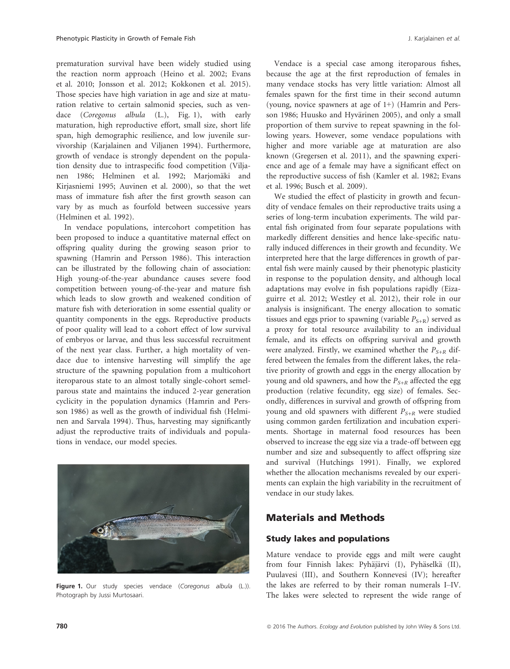prematuration survival have been widely studied using the reaction norm approach (Heino et al. 2002; Evans et al. 2010; Jonsson et al. 2012; Kokkonen et al. 2015). Those species have high variation in age and size at maturation relative to certain salmonid species, such as vendace (Coregonus albula (L.), Fig. 1), with early maturation, high reproductive effort, small size, short life span, high demographic resilience, and low juvenile survivorship (Karjalainen and Viljanen 1994). Furthermore, growth of vendace is strongly dependent on the population density due to intraspecific food competition (Viljanen 1986; Helminen et al. 1992; Marjomäki and Kirjasniemi 1995; Auvinen et al. 2000), so that the wet mass of immature fish after the first growth season can vary by as much as fourfold between successive years (Helminen et al. 1992).

In vendace populations, intercohort competition has been proposed to induce a quantitative maternal effect on offspring quality during the growing season prior to spawning (Hamrin and Persson 1986). This interaction can be illustrated by the following chain of association: High young-of-the-year abundance causes severe food competition between young-of-the-year and mature fish which leads to slow growth and weakened condition of mature fish with deterioration in some essential quality or quantity components in the eggs. Reproductive products of poor quality will lead to a cohort effect of low survival of embryos or larvae, and thus less successful recruitment of the next year class. Further, a high mortality of vendace due to intensive harvesting will simplify the age structure of the spawning population from a multicohort iteroparous state to an almost totally single-cohort semelparous state and maintains the induced 2-year generation cyclicity in the population dynamics (Hamrin and Persson 1986) as well as the growth of individual fish (Helminen and Sarvala 1994). Thus, harvesting may significantly adjust the reproductive traits of individuals and populations in vendace, our model species.



Figure 1. Our study species vendace (Coregonus albula (L.)). Photograph by Jussi Murtosaari.

Vendace is a special case among iteroparous fishes, because the age at the first reproduction of females in many vendace stocks has very little variation: Almost all females spawn for the first time in their second autumn (young, novice spawners at age of 1+) (Hamrin and Persson 1986; Huusko and Hyvärinen 2005), and only a small proportion of them survive to repeat spawning in the following years. However, some vendace populations with higher and more variable age at maturation are also known (Gregersen et al. 2011), and the spawning experience and age of a female may have a significant effect on the reproductive success of fish (Kamler et al. 1982; Evans et al. 1996; Busch et al. 2009).

We studied the effect of plasticity in growth and fecundity of vendace females on their reproductive traits using a series of long-term incubation experiments. The wild parental fish originated from four separate populations with markedly different densities and hence lake-specific naturally induced differences in their growth and fecundity. We interpreted here that the large differences in growth of parental fish were mainly caused by their phenotypic plasticity in response to the population density, and although local adaptations may evolve in fish populations rapidly (Eizaguirre et al. 2012; Westley et al. 2012), their role in our analysis is insignificant. The energy allocation to somatic tissues and eggs prior to spawning (variable  $P_{\text{S+R}}$ ) served as a proxy for total resource availability to an individual female, and its effects on offspring survival and growth were analyzed. Firstly, we examined whether the  $P_{S+R}$  differed between the females from the different lakes, the relative priority of growth and eggs in the energy allocation by young and old spawners, and how the  $P_{S+R}$  affected the egg production (relative fecundity, egg size) of females. Secondly, differences in survival and growth of offspring from young and old spawners with different  $P_{S+R}$  were studied using common garden fertilization and incubation experiments. Shortage in maternal food resources has been observed to increase the egg size via a trade-off between egg number and size and subsequently to affect offspring size and survival (Hutchings 1991). Finally, we explored whether the allocation mechanisms revealed by our experiments can explain the high variability in the recruitment of vendace in our study lakes.

# Materials and Methods

#### Study lakes and populations

Mature vendace to provide eggs and milt were caught from four Finnish lakes: Pyhäjärvi (I), Pyhäselkä (II), Puulavesi (III), and Southern Konnevesi (IV); hereafter the lakes are referred to by their roman numerals I–IV. The lakes were selected to represent the wide range of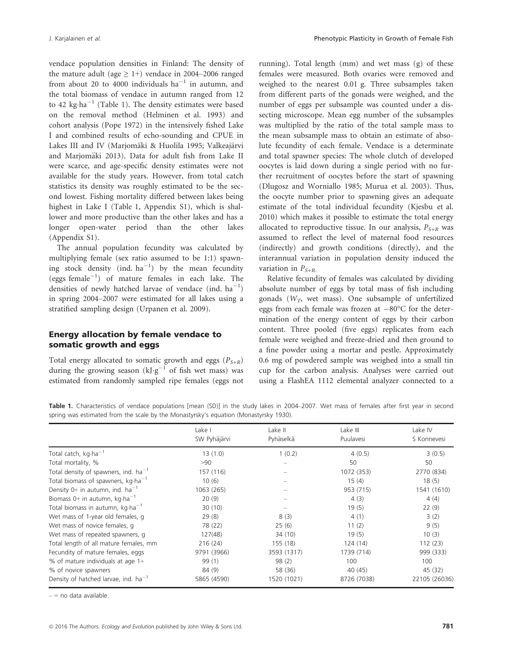vendace population densities in Finland: The density of the mature adult (age  $> 1+$ ) vendace in 2004–2006 ranged from about 20 to 4000 individuals  $ha^{-1}$  in autumn, and the total biomass of vendace in autumn ranged from 12 to 42 kg·ha<sup>-1</sup> (Table 1). The density estimates were based on the removal method (Helminen et al. 1993) and cohort analysis (Pope 1972) in the intensively fished Lake I and combined results of echo-sounding and CPUE in Lakes III and IV (Marjomäki & Huolila 1995; Valkeajärvi and Marjomäki 2013). Data for adult fish from Lake II were scarce, and age-specific density estimates were not available for the study years. However, from total catch statistics its density was roughly estimated to be the second lowest. Fishing mortality differed between lakes being highest in Lake I (Table 1, Appendix S1), which is shallower and more productive than the other lakes and has a longer open-water period than the other lakes (Appendix S1).

The annual population fecundity was calculated by multiplying female (sex ratio assumed to be 1:1) spawning stock density (ind.  $ha^{-1}$ ) by the mean fecundity (eggs female $^{-1}$ ) of mature females in each lake. The densities of newly hatched larvae of vendace (ind.  $ha^{-1}$ ) in spring 2004–2007 were estimated for all lakes using a stratified sampling design (Urpanen et al. 2009).

## Energy allocation by female vendace to somatic growth and eggs

Total energy allocated to somatic growth and eggs  $(P_{S+R})$ during the growing season  $(kJ·g<sup>-1</sup>$  of fish wet mass) was estimated from randomly sampled ripe females (eggs not running). Total length (mm) and wet mass (g) of these females were measured. Both ovaries were removed and weighed to the nearest 0.01 g. Three subsamples taken from different parts of the gonads were weighed, and the number of eggs per subsample was counted under a dissecting microscope. Mean egg number of the subsamples was multiplied by the ratio of the total sample mass to the mean subsample mass to obtain an estimate of absolute fecundity of each female. Vendace is a determinate and total spawner species: The whole clutch of developed oocytes is laid down during a single period with no further recruitment of oocytes before the start of spawning (Dlugosz and Worniallo 1985; Murua et al. 2003). Thus, the oocyte number prior to spawning gives an adequate estimate of the total individual fecundity (Kjesbu et al. 2010) which makes it possible to estimate the total energy allocated to reproductive tissue. In our analysis,  $P_{S+R}$  was assumed to reflect the level of maternal food resources (indirectly) and growth conditions (directly), and the interannual variation in population density induced the variation in  $P_{S+R}$ .

Relative fecundity of females was calculated by dividing absolute number of eggs by total mass of fish including gonads ( $W_T$ , wet mass). One subsample of unfertilized eggs from each female was frozen at  $-80^{\circ}$ C for the determination of the energy content of eggs by their carbon content. Three pooled (five eggs) replicates from each female were weighed and freeze-dried and then ground to a fine powder using a mortar and pestle. Approximately 0.6 mg of powdered sample was weighed into a small tin cup for the carbon analysis. Analyses were carried out using a FlashEA 1112 elemental analyzer connected to a

Table 1. Characteristics of vendace populations [mean (SD)] in the study lakes in 2004–2007. Wet mass of females after first year in second spring was estimated from the scale by the Monastyrsky's equation (Monastyrsky 1930).

|                                               | Lake I       | Lake II     | Lake III    | Lake IV       |
|-----------------------------------------------|--------------|-------------|-------------|---------------|
|                                               | SW Pyhäjärvi | Pyhäselkä   | Puulavesi   | S Konnevesi   |
| Total catch, $kg \cdot ha^{-1}$               | 13(1.0)      | 1(0.2)      | 4(0.5)      | 3(0.5)        |
| Total mortality, %                            | >90          |             | 50          | 50            |
| Total density of spawners, ind. $ha^{-1}$     | 157 (116)    |             | 1072 (353)  | 2770 (834)    |
| Total biomass of spawners, $kg \cdot ha^{-1}$ | 10(6)        |             | 15(4)       | 18(5)         |
| Density 0+ in autumn, ind. ha <sup>-1</sup>   | 1063 (265)   |             | 953 (715)   | 1541 (1610)   |
| Biomass 0+ in autumn, $kq \cdot ha^{-1}$      | 20(9)        |             | 4(3)        | 4(4)          |
| Total biomass in autumn, $kq \cdot ha^{-1}$   | 30(10)       |             | 19(5)       | 22(9)         |
| Wet mass of 1-year old females, q             | 29(8)        | 8(3)        | 4(1)        | 3(2)          |
| Wet mass of novice females, q                 | 78 (22)      | 25(6)       | 11(2)       | 9(5)          |
| Wet mass of repeated spawners, g              | 127(48)      | 34 (10)     | 19(5)       | 10(3)         |
| Total length of all mature females, mm        | 216(24)      | 155 (18)    | 124(14)     | 112 (23)      |
| Fecundity of mature females, eggs             | 9791 (3966)  | 3593 (1317) | 1739 (714)  | 999 (333)     |
| % of mature individuals at age 1+             | 99(1)        | 98(2)       | 100         | 100           |
| % of novice spawners                          | 84 (9)       | 58 (36)     | 40 (45)     | 45 (32)       |
| Density of hatched larvae, ind. $ha^{-1}$     | 5865 (4590)  | 1520 (1021) | 8726 (7038) | 22105 (26036) |

 $-$  = no data available.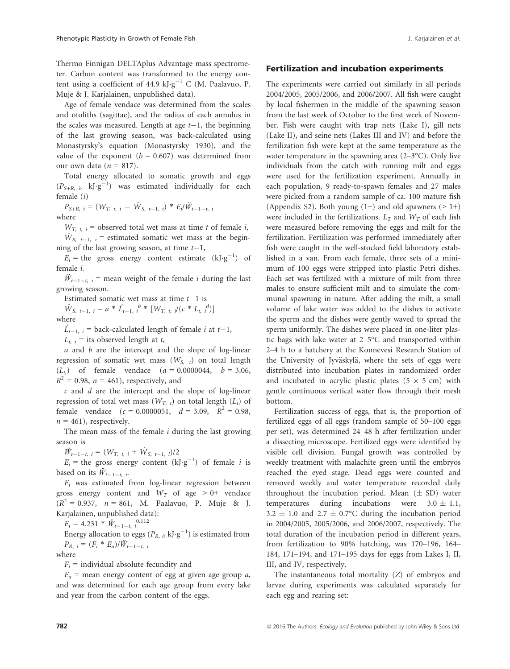Thermo Finnigan DELTAplus Advantage mass spectrometer. Carbon content was transformed to the energy content using a coefficient of 44.9 kJ·g<sup>-1</sup> C (M. Paalavuo, P. Muje & J. Karjalainen, unpublished data).

Age of female vendace was determined from the scales and otoliths (sagittae), and the radius of each annulus in the scales was measured. Length at age  $t-1$ , the beginning of the last growing season, was back-calculated using Monastyrsky's equation (Monastyrsky 1930), and the value of the exponent  $(b = 0.607)$  was determined from our own data ( $n = 817$ ).

Total energy allocated to somatic growth and eggs  $(P_{S+R, i}, kJ \cdot g^{-1})$  was estimated individually for each female (i)

 $P_{S+R, i} = (W_{T, t, i} - \hat{W}_{S, t-1, i}) * E_i/\hat{W}_{t-1-t, i}$ where

 $W_{T, t, i}$  = observed total wet mass at time t of female i,  $\hat{W}_{S, t-1, i}$  = estimated somatic wet mass at the beginning of the last growing season, at time  $t-1$ ,

 $E_i$  = the gross energy content estimate (kJ·g<sup>-1</sup>) of female i.

 $\ddot{W}_{t-1-t, i}$  = mean weight of the female *i* during the last growing season.

Estimated somatic wet mass at time  $t-1$  is

 $\hat{W}_{S, t-1, i} = a * \hat{L}_{t-1, i}^{b} * [W_{T, t, i} / (c * L_{t, i}^{d})]$ 

where

 $\hat{L}_{t-1, i}$  = back-calculated length of female *i* at *t*-1,

 $L_t$  i = its observed length at t,

a and b are the intercept and the slope of log-linear regression of somatic wet mass  $(W_{S_t} t)$  on total length  $(L_t)$  of female vendace  $(a = 0.0000044, b = 3.06,$  $R^2 = 0.98$ ,  $n = 461$ ), respectively, and

 $c$  and  $d$  are the intercept and the slope of log-linear regression of total wet mass  $(W_T, t)$  on total length  $(L_t)$  of female vendace  $(c = 0.0000051, d = 3.09, R^2 = 0.98,$  $n = 461$ , respectively.

The mean mass of the female  $i$  during the last growing season is

 $\ddot{W}_{t-1-t, i} = (W_{T, t, i} + \hat{W}_{S, t-1, i})/2$ 

 $E_i$  = the gross energy content (kJ·g<sup>-1</sup>) of female *i* is based on its  $\ddot{W}_{t-1-t, i}$ .

 $E_i$  was estimated from log-linear regression between gross energy content and  $W_T$  of age  $> 0^+$  vendace  $(R^{2} = 0.937, n = 861, M.$  Paalavuo, P. Muje & J. Karjalainen, unpublished data):

 $E_i = 4.231 * \ddot{W}_{t-1-t}$   $^{0.112}_{i}$ 

Energy allocation to eggs ( $P_{R, i}$ , kJ·g<sup>-1</sup>) is estimated from  $P_{R, i} = (F_i * E_a)/\ddot{W}_{t-1-i, i}$ 

where

 $F_i$  = individual absolute fecundity and

 $E_a$  = mean energy content of egg at given age group a, and was determined for each age group from every lake and year from the carbon content of the eggs.

### Fertilization and incubation experiments

The experiments were carried out similarly in all periods 2004/2005, 2005/2006, and 2006/2007. All fish were caught by local fishermen in the middle of the spawning season from the last week of October to the first week of November. Fish were caught with trap nets (Lake I), gill nets (Lake II), and seine nets (Lakes III and IV) and before the fertilization fish were kept at the same temperature as the water temperature in the spawning area  $(2-3°C)$ . Only live individuals from the catch with running milt and eggs were used for the fertilization experiment. Annually in each population, 9 ready-to-spawn females and 27 males were picked from a random sample of ca. 100 mature fish (Appendix S2). Both young  $(1+)$  and old spawners  $(> 1+)$ were included in the fertilizations.  $L_T$  and  $W_T$  of each fish were measured before removing the eggs and milt for the fertilization. Fertilization was performed immediately after fish were caught in the well-stocked field laboratory established in a van. From each female, three sets of a minimum of 100 eggs were stripped into plastic Petri dishes. Each set was fertilized with a mixture of milt from three males to ensure sufficient milt and to simulate the communal spawning in nature. After adding the milt, a small volume of lake water was added to the dishes to activate the sperm and the dishes were gently waved to spread the sperm uniformly. The dishes were placed in one-liter plastic bags with lake water at 2–5°C and transported within 2–4 h to a hatchery at the Konnevesi Research Station of the University of Jyväskylä, where the sets of eggs were distributed into incubation plates in randomized order and incubated in acrylic plastic plates  $(5 \times 5 \text{ cm})$  with gentle continuous vertical water flow through their mesh bottom.

Fertilization success of eggs, that is, the proportion of fertilized eggs of all eggs (random sample of 50–100 eggs per set), was determined 24–48 h after fertilization under a dissecting microscope. Fertilized eggs were identified by visible cell division. Fungal growth was controlled by weekly treatment with malachite green until the embryos reached the eyed stage. Dead eggs were counted and removed weekly and water temperature recorded daily throughout the incubation period. Mean  $(\pm SD)$  water temperatures during incubations were  $3.0 \pm 1.1$ ,  $3.2 \pm 1.0$  and  $2.7 \pm 0.7$ °C during the incubation period in 2004/2005, 2005/2006, and 2006/2007, respectively. The total duration of the incubation period in different years, from fertilization to 90% hatching, was 170–196, 164– 184, 171–194, and 171–195 days for eggs from Lakes I, II, III, and IV, respectively.

The instantaneous total mortality  $(Z)$  of embryos and larvae during experiments was calculated separately for each egg and rearing set: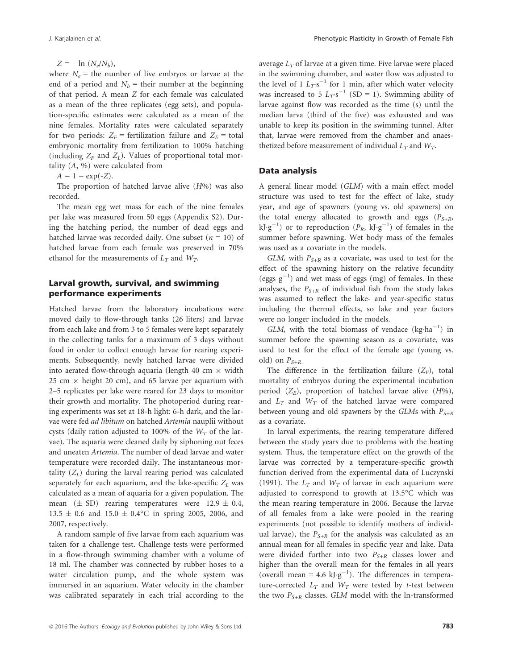$Z = -\text{ln} (N_e/N_b),$ 

where  $N_e$  = the number of live embryos or larvae at the end of a period and  $N_b$  = their number at the beginning of that period. A mean Z for each female was calculated as a mean of the three replicates (egg sets), and population-specific estimates were calculated as a mean of the nine females. Mortality rates were calculated separately for two periods:  $Z_F$  = fertilization failure and  $Z_F$  = total embryonic mortality from fertilization to 100% hatching (including  $Z_F$  and  $Z_I$ ). Values of proportional total mortality  $(A, \%)$  were calculated from

 $A = 1 - \exp(-Z)$ .

The proportion of hatched larvae alive  $(H\%)$  was also recorded.

The mean egg wet mass for each of the nine females per lake was measured from 50 eggs (Appendix S2). During the hatching period, the number of dead eggs and hatched larvae was recorded daily. One subset ( $n = 10$ ) of hatched larvae from each female was preserved in 70% ethanol for the measurements of  $L_T$  and  $W_T$ .

## Larval growth, survival, and swimming performance experiments

Hatched larvae from the laboratory incubations were moved daily to flow-through tanks (26 liters) and larvae from each lake and from 3 to 5 females were kept separately in the collecting tanks for a maximum of 3 days without food in order to collect enough larvae for rearing experiments. Subsequently, newly hatched larvae were divided into aerated flow-through aquaria (length 40 cm  $\times$  width 25 cm  $\times$  height 20 cm), and 65 larvae per aquarium with 2–5 replicates per lake were reared for 23 days to monitor their growth and mortality. The photoperiod during rearing experiments was set at 18-h light: 6-h dark, and the larvae were fed ad libitum on hatched Artemia nauplii without cysts (daily ration adjusted to 100% of the  $W_T$  of the larvae). The aquaria were cleaned daily by siphoning out feces and uneaten Artemia. The number of dead larvae and water temperature were recorded daily. The instantaneous mortality  $(Z_L)$  during the larval rearing period was calculated separately for each aquarium, and the lake-specific  $Z_L$  was calculated as a mean of aquaria for a given population. The mean ( $\pm$  SD) rearing temperatures were 12.9  $\pm$  0.4,  $13.5 \pm 0.6$  and  $15.0 \pm 0.4$ °C in spring 2005, 2006, and 2007, respectively.

A random sample of five larvae from each aquarium was taken for a challenge test. Challenge tests were performed in a flow-through swimming chamber with a volume of 18 ml. The chamber was connected by rubber hoses to a water circulation pump, and the whole system was immersed in an aquarium. Water velocity in the chamber was calibrated separately in each trial according to the average  $L<sub>T</sub>$  of larvae at a given time. Five larvae were placed in the swimming chamber, and water flow was adjusted to the level of  $1 L_T$ s<sup>-1</sup> for 1 min, after which water velocity was increased to 5  $L_T$ s<sup>-1</sup> (SD = 1). Swimming ability of larvae against flow was recorded as the time (s) until the median larva (third of the five) was exhausted and was unable to keep its position in the swimming tunnel. After that, larvae were removed from the chamber and anaesthetized before measurement of individual  $L_T$  and  $W_T$ .

#### Data analysis

A general linear model (GLM) with a main effect model structure was used to test for the effect of lake, study year, and age of spawners (young vs. old spawners) on the total energy allocated to growth and eggs  $(P_{S+R},$ kJ·g<sup>-1</sup>) or to reproduction  $(P_R, kJ·g^{-1})$  of females in the summer before spawning. Wet body mass of the females was used as a covariate in the models.

GLM, with  $P_{S+R}$  as a covariate, was used to test for the effect of the spawning history on the relative fecundity (eggs  $g^{-1}$ ) and wet mass of eggs (mg) of females. In these analyses, the  $P_{S+R}$  of individual fish from the study lakes was assumed to reflect the lake- and year-specific status including the thermal effects, so lake and year factors were no longer included in the models.

GLM, with the total biomass of vendace  $(kg \cdot ha^{-1})$  in summer before the spawning season as a covariate, was used to test for the effect of the female age (young vs. old) on  $P_{S+R}$ .

The difference in the fertilization failure  $(Z_F)$ , total mortality of embryos during the experimental incubation period  $(Z_E)$ , proportion of hatched larvae alive  $(H\%)$ , and  $L_T$  and  $W_T$  of the hatched larvae were compared between young and old spawners by the GLMs with  $P_{S+R}$ as a covariate.

In larval experiments, the rearing temperature differed between the study years due to problems with the heating system. Thus, the temperature effect on the growth of the larvae was corrected by a temperature-specific growth function derived from the experimental data of Luczynski (1991). The  $L_T$  and  $W_T$  of larvae in each aquarium were adjusted to correspond to growth at 13.5°C which was the mean rearing temperature in 2006. Because the larvae of all females from a lake were pooled in the rearing experiments (not possible to identify mothers of individual larvae), the  $P_{S+R}$  for the analysis was calculated as an annual mean for all females in specific year and lake. Data were divided further into two  $P_{S+R}$  classes lower and higher than the overall mean for the females in all years (overall mean = 4.6 kJ·g<sup>-1</sup>). The differences in temperature-corrected  $L_T$  and  $W_T$  were tested by t-test between the two  $P_{S+R}$  classes. GLM model with the ln-transformed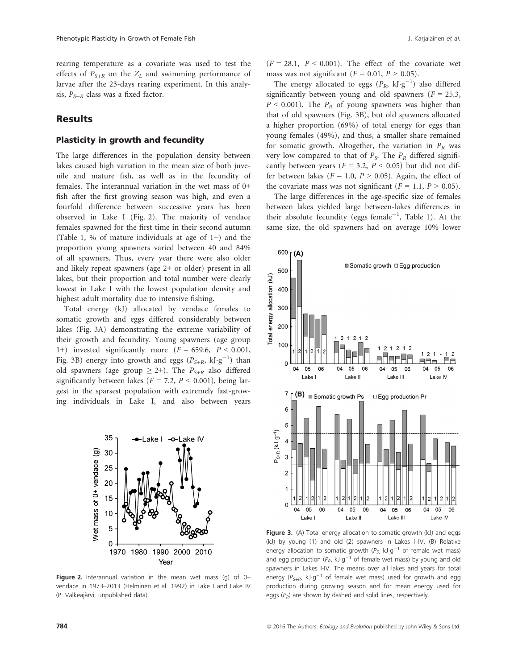rearing temperature as a covariate was used to test the effects of  $P_{S+R}$  on the  $Z_L$  and swimming performance of larvae after the 23-days rearing experiment. In this analysis,  $P_{S+R}$  class was a fixed factor.

# **Results**

#### Plasticity in growth and fecundity

The large differences in the population density between lakes caused high variation in the mean size of both juvenile and mature fish, as well as in the fecundity of females. The interannual variation in the wet mass of 0+ fish after the first growing season was high, and even a fourfold difference between successive years has been observed in Lake I (Fig. 2). The majority of vendace females spawned for the first time in their second autumn (Table 1, % of mature individuals at age of 1+) and the proportion young spawners varied between 40 and 84% of all spawners. Thus, every year there were also older and likely repeat spawners (age 2+ or older) present in all lakes, but their proportion and total number were clearly lowest in Lake I with the lowest population density and highest adult mortality due to intensive fishing.

Total energy (kJ) allocated by vendace females to somatic growth and eggs differed considerably between lakes (Fig. 3A) demonstrating the extreme variability of their growth and fecundity. Young spawners (age group 1+) invested significantly more  $(F = 659.6, P < 0.001,$ Fig. 3B) energy into growth and eggs  $(P_{S+R}, kJ \cdot g^{-1})$  than old spawners (age group  $\geq$  2+). The  $P_{S+R}$  also differed significantly between lakes ( $F = 7.2$ ,  $P < 0.001$ ), being largest in the sparsest population with extremely fast-growing individuals in Lake I, and also between years



Figure 2. Interannual variation in the mean wet mass  $(q)$  of 0+ vendace in 1973–2013 (Helminen et al. 1992) in Lake I and Lake IV (P. Valkeajärvi, unpublished data).

 $(F = 28.1, P < 0.001)$ . The effect of the covariate wet mass was not significant ( $F = 0.01$ ,  $P > 0.05$ ).

The energy allocated to eggs  $(P_R, kJ \cdot g^{-1})$  also differed significantly between young and old spawners ( $F = 25.3$ ,  $P < 0.001$ ). The  $P_R$  of young spawners was higher than that of old spawners (Fig. 3B), but old spawners allocated a higher proportion (69%) of total energy for eggs than young females (49%), and thus, a smaller share remained for somatic growth. Altogether, the variation in  $P_R$  was very low compared to that of  $P_S$ . The  $P_R$  differed significantly between years ( $F = 3.2$ ,  $P < 0.05$ ) but did not differ between lakes ( $F = 1.0$ ,  $P > 0.05$ ). Again, the effect of the covariate mass was not significant ( $F = 1.1$ ,  $P > 0.05$ ).

The large differences in the age-specific size of females between lakes yielded large between-lakes differences in their absolute fecundity (eggs female $^{-1}$ , Table 1). At the same size, the old spawners had on average 10% lower



Figure 3. (A) Total energy allocation to somatic growth (kJ) and eggs (kJ) by young (1) and old (2) spawners in Lakes I–IV. (B) Relative energy allocation to somatic growth  $(P<sub>S</sub> kJ·g<sup>-1</sup>$  of female wet mass) and egg production ( $P_R$ , kJ $\cdot$ g<sup>-1</sup> of female wet mass) by young and old spawners in Lakes I-IV. The means over all lakes and years for total energy ( $P_{S+R}$ , kJ·g<sup>-1</sup> of female wet mass) used for growth and egg production during growing season and for mean energy used for eggs  $(P_R)$  are shown by dashed and solid lines, respectively.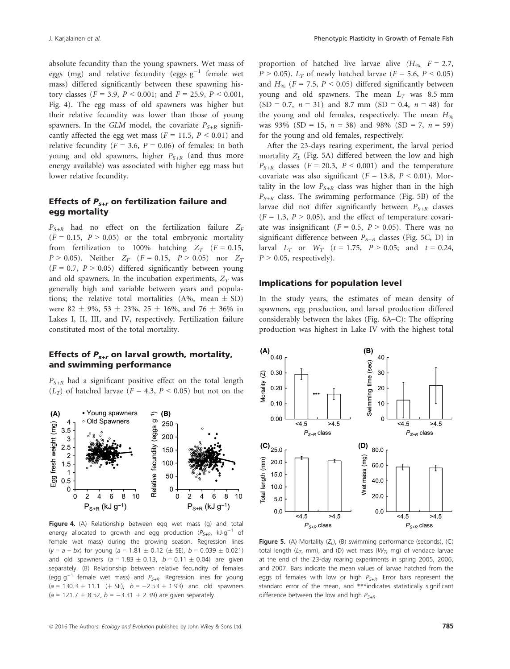absolute fecundity than the young spawners. Wet mass of eggs (mg) and relative fecundity (eggs  $g^{-1}$  female wet mass) differed significantly between these spawning history classes ( $F = 3.9$ ,  $P < 0.001$ ; and  $F = 25.9$ ,  $P < 0.001$ , Fig. 4). The egg mass of old spawners was higher but their relative fecundity was lower than those of young spawners. In the GLM model, the covariate  $P_{S+R}$  significantly affected the egg wet mass ( $F = 11.5$ ,  $P < 0.01$ ) and relative fecundity ( $F = 3.6$ ,  $P = 0.06$ ) of females: In both young and old spawners, higher  $P_{S+R}$  (and thus more energy available) was associated with higher egg mass but lower relative fecundity.

## Effects of  $P_{s+r}$  on fertilization failure and egg mortality

 $P_{S+R}$  had no effect on the fertilization failure  $Z_F$  $(F = 0.15, P > 0.05)$  or the total embryonic mortality from fertilization to 100% hatching  $Z_T$  ( $F = 0.15$ ,  $P > 0.05$ ). Neither  $Z_F$  ( $F = 0.15$ ,  $P > 0.05$ ) nor  $Z_T$  $(F = 0.7, P > 0.05)$  differed significantly between young and old spawners. In the incubation experiments,  $Z_T$  was generally high and variable between years and populations; the relative total mortalities (A%, mean  $\pm$  SD) were 82  $\pm$  9%, 53  $\pm$  23%, 25  $\pm$  16%, and 76  $\pm$  36% in Lakes I, II, III, and IV, respectively. Fertilization failure constituted most of the total mortality.

### Effects of  $P_{s+r}$  on larval growth, mortality, and swimming performance

 $P_{S+R}$  had a significant positive effect on the total length  $(L_T)$  of hatched larvae  $(F = 4.3, P < 0.05)$  but not on the



Figure 4. (A) Relationship between egg wet mass (g) and total energy allocated to growth and egg production  $(P_{S+R}, kJ \cdot g^{-1})$  of female wet mass) during the growing season. Regression lines  $(y = a + bx)$  for young  $(a = 1.81 \pm 0.12 \ (\pm 5E), b = 0.039 \pm 0.021)$ and old spawners ( $a = 1.83 \pm 0.13$ ,  $b = 0.11 \pm 0.04$ ) are given separately. (B) Relationship between relative fecundity of females (egg g<sup>-1</sup> female wet mass) and  $P_{S+R}$ . Regression lines for young  $(a = 130.3 \pm 11.1 \ (\pm 5E), b = -2.53 \pm 1.93)$  and old spawners  $(a = 121.7 \pm 8.52, b = -3.31 \pm 2.39)$  are given separately

proportion of hatched live larvae alive  $(H_{\%}, F = 2.7,$  $P > 0.05$ ).  $L_T$  of newly hatched larvae ( $F = 5.6$ ,  $P < 0.05$ ) and  $H_{\gamma_0}$  (F = 7.5, P < 0.05) differed significantly between young and old spawners. The mean  $L<sub>T</sub>$  was 8.5 mm  $(SD = 0.7, n = 31)$  and 8.7 mm  $(SD = 0.4, n = 48)$  for the young and old females, respectively. The mean  $H_{\phi_0}$ was 93% (SD = 15,  $n = 38$ ) and 98% (SD = 7,  $n = 59$ ) for the young and old females, respectively.

After the 23-days rearing experiment, the larval period mortality  $Z_L$  (Fig. 5A) differed between the low and high  $P_{S+R}$  classes ( $F = 20.3$ ,  $P < 0.001$ ) and the temperature covariate was also significant ( $F = 13.8$ ,  $P < 0.01$ ). Mortality in the low  $P_{S+R}$  class was higher than in the high  $P_{S+R}$  class. The swimming performance (Fig. 5B) of the larvae did not differ significantly between  $P_{S+R}$  classes  $(F = 1.3, P > 0.05)$ , and the effect of temperature covariate was insignificant ( $F = 0.5$ ,  $P > 0.05$ ). There was no significant difference between  $P_{S+R}$  classes (Fig. 5C, D) in larval  $L_T$  or  $W_T$  ( $t = 1.75$ ,  $P > 0.05$ ; and  $t = 0.24$ ,  $P > 0.05$ , respectively).

#### Implications for population level

In the study years, the estimates of mean density of spawners, egg production, and larval production differed considerably between the lakes (Fig. 6A–C): The offspring production was highest in Lake IV with the highest total



**Figure 5.** (A) Mortality  $(Z_l)$ , (B) swimming performance (seconds), (C) total length ( $L_T$ , mm), and (D) wet mass ( $W_T$ , mg) of vendace larvae at the end of the 23-day rearing experiments in spring 2005, 2006, and 2007. Bars indicate the mean values of larvae hatched from the eggs of females with low or high  $P_{S+R}$ . Error bars represent the standard error of the mean, and \*\*\*indicates statistically significant difference between the low and high  $P_{S+R}$ .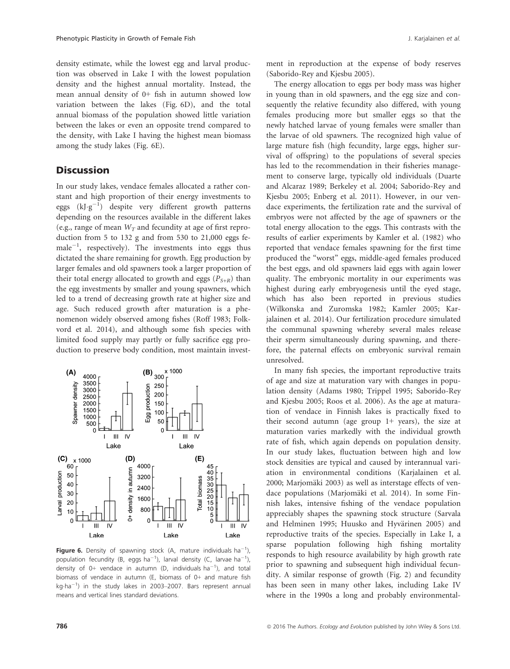density estimate, while the lowest egg and larval production was observed in Lake I with the lowest population density and the highest annual mortality. Instead, the mean annual density of 0+ fish in autumn showed low variation between the lakes (Fig. 6D), and the total annual biomass of the population showed little variation between the lakes or even an opposite trend compared to the density, with Lake I having the highest mean biomass among the study lakes (Fig. 6E).

# **Discussion**

In our study lakes, vendace females allocated a rather constant and high proportion of their energy investments to eggs  $(kJ \cdot g^{-1})$  despite very different growth patterns depending on the resources available in the different lakes (e.g., range of mean  $W_T$  and fecundity at age of first reproduction from 5 to 132 g and from 530 to 21,000 eggs female<sup>-1</sup>, respectively). The investments into eggs thus dictated the share remaining for growth. Egg production by larger females and old spawners took a larger proportion of their total energy allocated to growth and eggs  $(P_{S+R})$  than the egg investments by smaller and young spawners, which led to a trend of decreasing growth rate at higher size and age. Such reduced growth after maturation is a phenomenon widely observed among fishes (Roff 1983; Folkvord et al. 2014), and although some fish species with limited food supply may partly or fully sacrifice egg production to preserve body condition, most maintain invest-



Figure 6. Density of spawning stock (A, mature individuals  $ha^{-1}$ ), population fecundity (B, eggs ha<sup>-1</sup>), larval density (C, larvae ha<sup>-1</sup>), density of 0+ vendace in autumn (D, individuals  $ha^{-1}$ ), and total biomass of vendace in autumn (E, biomass of 0+ and mature fish  $kg$ -ha<sup>-1</sup>) in the study lakes in 2003–2007. Bars represent annual means and vertical lines standard deviations.

ment in reproduction at the expense of body reserves (Saborido-Rey and Kjesbu 2005).

The energy allocation to eggs per body mass was higher in young than in old spawners, and the egg size and consequently the relative fecundity also differed, with young females producing more but smaller eggs so that the newly hatched larvae of young females were smaller than the larvae of old spawners. The recognized high value of large mature fish (high fecundity, large eggs, higher survival of offspring) to the populations of several species has led to the recommendation in their fisheries management to conserve large, typically old individuals (Duarte and Alcaraz 1989; Berkeley et al. 2004; Saborido-Rey and Kjesbu 2005; Enberg et al. 2011). However, in our vendace experiments, the fertilization rate and the survival of embryos were not affected by the age of spawners or the total energy allocation to the eggs. This contrasts with the results of earlier experiments by Kamler et al. (1982) who reported that vendace females spawning for the first time produced the "worst" eggs, middle-aged females produced the best eggs, and old spawners laid eggs with again lower quality. The embryonic mortality in our experiments was highest during early embryogenesis until the eyed stage, which has also been reported in previous studies (Wilkonska and Zuromska 1982; Kamler 2005; Karjalainen et al. 2014). Our fertilization procedure simulated the communal spawning whereby several males release their sperm simultaneously during spawning, and therefore, the paternal effects on embryonic survival remain unresolved.

In many fish species, the important reproductive traits of age and size at maturation vary with changes in population density (Adams 1980; Trippel 1995; Saborido-Rey and Kjesbu 2005; Roos et al. 2006). As the age at maturation of vendace in Finnish lakes is practically fixed to their second autumn (age group  $1+$  years), the size at maturation varies markedly with the individual growth rate of fish, which again depends on population density. In our study lakes, fluctuation between high and low stock densities are typical and caused by interannual variation in environmental conditions (Karjalainen et al. 2000; Marjomäki 2003) as well as interstage effects of vendace populations (Marjomäki et al. 2014). In some Finnish lakes, intensive fishing of the vendace population appreciably shapes the spawning stock structure (Sarvala and Helminen 1995; Huusko and Hyvärinen 2005) and reproductive traits of the species. Especially in Lake I, a sparse population following high fishing mortality responds to high resource availability by high growth rate prior to spawning and subsequent high individual fecundity. A similar response of growth (Fig. 2) and fecundity has been seen in many other lakes, including Lake IV where in the 1990s a long and probably environmental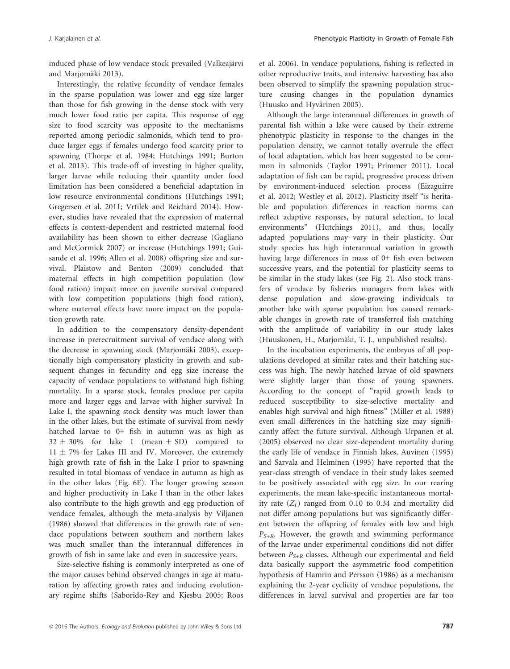induced phase of low vendace stock prevailed (Valkeajärvi and Mariomäki 2013).

Interestingly, the relative fecundity of vendace females in the sparse population was lower and egg size larger than those for fish growing in the dense stock with very much lower food ratio per capita. This response of egg size to food scarcity was opposite to the mechanisms reported among periodic salmonids, which tend to produce larger eggs if females undergo food scarcity prior to spawning (Thorpe et al. 1984; Hutchings 1991; Burton et al. 2013). This trade-off of investing in higher quality, larger larvae while reducing their quantity under food limitation has been considered a beneficial adaptation in low resource environmental conditions (Hutchings 1991; Gregersen et al. 2011; Vrtilek and Reichard 2014). However, studies have revealed that the expression of maternal effects is context-dependent and restricted maternal food availability has been shown to either decrease (Gagliano and McCormick 2007) or increase (Hutchings 1991; Guisande et al. 1996; Allen et al. 2008) offspring size and survival. Plaistow and Benton (2009) concluded that maternal effects in high competition population (low food ration) impact more on juvenile survival compared with low competition populations (high food ration), where maternal effects have more impact on the population growth rate.

In addition to the compensatory density-dependent increase in prerecruitment survival of vendace along with the decrease in spawning stock (Marjomäki 2003), exceptionally high compensatory plasticity in growth and subsequent changes in fecundity and egg size increase the capacity of vendace populations to withstand high fishing mortality. In a sparse stock, females produce per capita more and larger eggs and larvae with higher survival: In Lake I, the spawning stock density was much lower than in the other lakes, but the estimate of survival from newly hatched larvae to 0+ fish in autumn was as high as  $32 \pm 30\%$  for lake I (mean  $\pm$  SD) compared to  $11 \pm 7\%$  for Lakes III and IV. Moreover, the extremely high growth rate of fish in the Lake I prior to spawning resulted in total biomass of vendace in autumn as high as in the other lakes (Fig. 6E). The longer growing season and higher productivity in Lake I than in the other lakes also contribute to the high growth and egg production of vendace females, although the meta-analysis by Viljanen (1986) showed that differences in the growth rate of vendace populations between southern and northern lakes was much smaller than the interannual differences in growth of fish in same lake and even in successive years.

Size-selective fishing is commonly interpreted as one of the major causes behind observed changes in age at maturation by affecting growth rates and inducing evolutionary regime shifts (Saborido-Rey and Kjesbu 2005; Roos et al. 2006). In vendace populations, fishing is reflected in other reproductive traits, and intensive harvesting has also been observed to simplify the spawning population structure causing changes in the population dynamics (Huusko and Hyvärinen 2005).

Although the large interannual differences in growth of parental fish within a lake were caused by their extreme phenotypic plasticity in response to the changes in the population density, we cannot totally overrule the effect of local adaptation, which has been suggested to be common in salmonids (Taylor 1991; Primmer 2011). Local adaptation of fish can be rapid, progressive process driven by environment-induced selection process (Eizaguirre et al. 2012; Westley et al. 2012). Plasticity itself "is heritable and population differences in reaction norms can reflect adaptive responses, by natural selection, to local environments" (Hutchings 2011), and thus, locally adapted populations may vary in their plasticity. Our study species has high interannual variation in growth having large differences in mass of 0+ fish even between successive years, and the potential for plasticity seems to be similar in the study lakes (see Fig. 2). Also stock transfers of vendace by fisheries managers from lakes with dense population and slow-growing individuals to another lake with sparse population has caused remarkable changes in growth rate of transferred fish matching with the amplitude of variability in our study lakes (Huuskonen, H., Marjomäki, T. J., unpublished results).

In the incubation experiments, the embryos of all populations developed at similar rates and their hatching success was high. The newly hatched larvae of old spawners were slightly larger than those of young spawners. According to the concept of "rapid growth leads to reduced susceptibility to size-selective mortality and enables high survival and high fitness" (Miller et al. 1988) even small differences in the hatching size may significantly affect the future survival. Although Urpanen et al. (2005) observed no clear size-dependent mortality during the early life of vendace in Finnish lakes, Auvinen (1995) and Sarvala and Helminen (1995) have reported that the year-class strength of vendace in their study lakes seemed to be positively associated with egg size. In our rearing experiments, the mean lake-specific instantaneous mortality rate  $(Z_L)$  ranged from 0.10 to 0.34 and mortality did not differ among populations but was significantly different between the offspring of females with low and high  $P_{S+R}$ . However, the growth and swimming performance of the larvae under experimental conditions did not differ between  $P_{S+R}$  classes. Although our experimental and field data basically support the asymmetric food competition hypothesis of Hamrin and Persson (1986) as a mechanism explaining the 2-year cyclicity of vendace populations, the differences in larval survival and properties are far too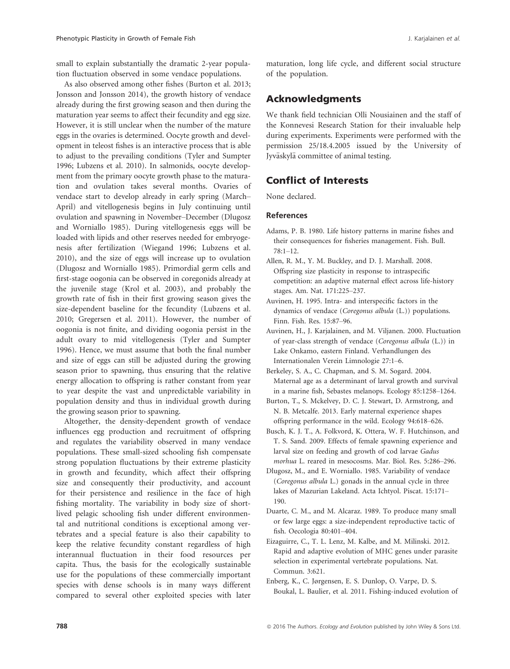small to explain substantially the dramatic 2-year population fluctuation observed in some vendace populations.

As also observed among other fishes (Burton et al. 2013; Jonsson and Jonsson 2014), the growth history of vendace already during the first growing season and then during the maturation year seems to affect their fecundity and egg size. However, it is still unclear when the number of the mature eggs in the ovaries is determined. Oocyte growth and development in teleost fishes is an interactive process that is able to adjust to the prevailing conditions (Tyler and Sumpter 1996; Lubzens et al. 2010). In salmonids, oocyte development from the primary oocyte growth phase to the maturation and ovulation takes several months. Ovaries of vendace start to develop already in early spring (March– April) and vitellogenesis begins in July continuing until ovulation and spawning in November–December (Dlugosz and Worniallo 1985). During vitellogenesis eggs will be loaded with lipids and other reserves needed for embryogenesis after fertilization (Wiegand 1996; Lubzens et al. 2010), and the size of eggs will increase up to ovulation (Dlugosz and Worniallo 1985). Primordial germ cells and first-stage oogonia can be observed in coregonids already at the juvenile stage (Krol et al. 2003), and probably the growth rate of fish in their first growing season gives the size-dependent baseline for the fecundity (Lubzens et al. 2010; Gregersen et al. 2011). However, the number of oogonia is not finite, and dividing oogonia persist in the adult ovary to mid vitellogenesis (Tyler and Sumpter 1996). Hence, we must assume that both the final number and size of eggs can still be adjusted during the growing season prior to spawning, thus ensuring that the relative energy allocation to offspring is rather constant from year to year despite the vast and unpredictable variability in population density and thus in individual growth during the growing season prior to spawning.

Altogether, the density-dependent growth of vendace influences egg production and recruitment of offspring and regulates the variability observed in many vendace populations. These small-sized schooling fish compensate strong population fluctuations by their extreme plasticity in growth and fecundity, which affect their offspring size and consequently their productivity, and account for their persistence and resilience in the face of high fishing mortality. The variability in body size of shortlived pelagic schooling fish under different environmental and nutritional conditions is exceptional among vertebrates and a special feature is also their capability to keep the relative fecundity constant regardless of high interannual fluctuation in their food resources per capita. Thus, the basis for the ecologically sustainable use for the populations of these commercially important species with dense schools is in many ways different compared to several other exploited species with later

maturation, long life cycle, and different social structure of the population.

# Acknowledgments

We thank field technician Olli Nousiainen and the staff of the Konnevesi Research Station for their invaluable help during experiments. Experiments were performed with the permission 25/18.4.2005 issued by the University of Jyväskylä committee of animal testing.

# Conflict of Interests

None declared.

#### References

- Adams, P. B. 1980. Life history patterns in marine fishes and their consequences for fisheries management. Fish. Bull. 78:1–12.
- Allen, R. M., Y. M. Buckley, and D. J. Marshall. 2008. Offspring size plasticity in response to intraspecific competition: an adaptive maternal effect across life-history stages. Am. Nat. 171:225–237.
- Auvinen, H. 1995. Intra- and interspecific factors in the dynamics of vendace (Coregonus albula (L.)) populations. Finn. Fish. Res. 15:87–96.
- Auvinen, H., J. Karjalainen, and M. Viljanen. 2000. Fluctuation of year-class strength of vendace (Coregonus albula (L.)) in Lake Onkamo, eastern Finland. Verhandlungen des Internationalen Verein Limnologie 27:1–6.
- Berkeley, S. A., C. Chapman, and S. M. Sogard. 2004. Maternal age as a determinant of larval growth and survival in a marine fish, Sebastes melanops. Ecology 85:1258–1264.
- Burton, T., S. Mckelvey, D. C. J. Stewart, D. Armstrong, and N. B. Metcalfe. 2013. Early maternal experience shapes offspring performance in the wild. Ecology 94:618–626.
- Busch, K. J. T., A. Folkvord, K. Ottera, W. F. Hutchinson, and T. S. Sand. 2009. Effects of female spawning experience and larval size on feeding and growth of cod larvae Gadus morhua L. reared in mesocosms. Mar. Biol. Res. 5:286–296.
- Dlugosz, M., and E. Worniallo. 1985. Variability of vendace (Coregonus albula L.) gonads in the annual cycle in three lakes of Mazurian Lakeland. Acta Ichtyol. Piscat. 15:171– 190.
- Duarte, C. M., and M. Alcaraz. 1989. To produce many small or few large eggs: a size-independent reproductive tactic of fish. Oecologia 80:401–404.
- Eizaguirre, C., T. L. Lenz, M. Kalbe, and M. Milinski. 2012. Rapid and adaptive evolution of MHC genes under parasite selection in experimental vertebrate populations. Nat. Commun. 3:621.
- Enberg, K., C. Jørgensen, E. S. Dunlop, O. Varpe, D. S. Boukal, L. Baulier, et al. 2011. Fishing-induced evolution of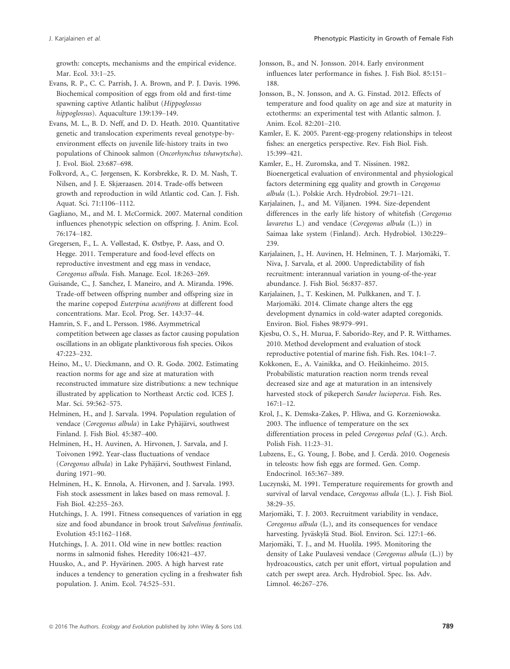growth: concepts, mechanisms and the empirical evidence. Mar. Ecol. 33:1–25.

Evans, R. P., C. C. Parrish, J. A. Brown, and P. J. Davis. 1996. Biochemical composition of eggs from old and first-time spawning captive Atlantic halibut (Hippoglossus hippoglossus). Aquaculture 139:139–149.

Evans, M. L., B. D. Neff, and D. D. Heath. 2010. Quantitative genetic and translocation experiments reveal genotype-byenvironment effects on juvenile life-history traits in two populations of Chinook salmon (Oncorhynchus tshawytscha). J. Evol. Biol. 23:687–698.

Folkvord, A., C. Jørgensen, K. Korsbrekke, R. D. M. Nash, T. Nilsen, and J. E. Skjæraasen. 2014. Trade-offs between growth and reproduction in wild Atlantic cod. Can. J. Fish. Aquat. Sci. 71:1106–1112.

Gagliano, M., and M. I. McCormick. 2007. Maternal condition influences phenotypic selection on offspring. J. Anim. Ecol. 76:174–182.

Gregersen, F., L. A. Vøllestad, K. Østbye, P. Aass, and O. Hegge. 2011. Temperature and food-level effects on reproductive investment and egg mass in vendace, Coregonus albula. Fish. Manage. Ecol. 18:263–269.

Guisande, C., J. Sanchez, I. Maneiro, and A. Miranda. 1996. Trade-off between offspring number and offspring size in the marine copepod Euterpina acutifrons at different food concentrations. Mar. Ecol. Prog. Ser. 143:37–44.

Hamrin, S. F., and L. Persson. 1986. Asymmetrical competition between age classes as factor causing population oscillations in an obligate planktivorous fish species. Oikos 47:223–232.

Heino, M., U. Dieckmann, and O. R. Godø. 2002. Estimating reaction norms for age and size at maturation with reconstructed immature size distributions: a new technique illustrated by application to Northeast Arctic cod. ICES J. Mar. Sci. 59:562–575.

Helminen, H., and J. Sarvala. 1994. Population regulation of vendace (Coregonus albula) in Lake Pyhäjärvi, southwest Finland. J. Fish Biol. 45:387–400.

Helminen, H., H. Auvinen, A. Hirvonen, J. Sarvala, and J. Toivonen 1992. Year-class fluctuations of vendace (Coregonus albula) in Lake Pyhäjärvi, Southwest Finland, during 1971–90.

Helminen, H., K. Ennola, A. Hirvonen, and J. Sarvala. 1993. Fish stock assessment in lakes based on mass removal. J. Fish Biol. 42:255–263.

Hutchings, J. A. 1991. Fitness consequences of variation in egg size and food abundance in brook trout Salvelinus fontinalis. Evolution 45:1162–1168.

Hutchings, J. A. 2011. Old wine in new bottles: reaction norms in salmonid fishes. Heredity 106:421–437.

Huusko, A., and P. Hyvärinen. 2005. A high harvest rate induces a tendency to generation cycling in a freshwater fish population. J. Anim. Ecol. 74:525–531.

Jonsson, B., and N. Jonsson. 2014. Early environment influences later performance in fishes. J. Fish Biol. 85:151– 188.

Jonsson, B., N. Jonsson, and A. G. Finstad. 2012. Effects of temperature and food quality on age and size at maturity in ectotherms: an experimental test with Atlantic salmon. J. Anim. Ecol. 82:201–210.

Kamler, E. K. 2005. Parent-egg-progeny relationships in teleost fishes: an energetics perspective. Rev. Fish Biol. Fish. 15:399–421.

Kamler, E., H. Zuromska, and T. Nissinen. 1982. Bioenergetical evaluation of environmental and physiological factors determining egg quality and growth in Coregonus albula (L.). Polskie Arch. Hydrobiol. 29:71–121.

Karjalainen, J., and M. Viljanen. 1994. Size-dependent differences in the early life history of whitefish (Coregonus lavaretus L.) and vendace (Coregonus albula (L.)) in Saimaa lake system (Finland). Arch. Hydrobiol. 130:229– 239.

Karjalainen, J., H. Auvinen, H. Helminen, T. J. Marjomäki, T. Niva, J. Sarvala, et al. 2000. Unpredictability of fish recruitment: interannual variation in young-of-the-year abundance. J. Fish Biol. 56:837–857.

Karjalainen, J., T. Keskinen, M. Pulkkanen, and T. J. Marjomäki. 2014. Climate change alters the egg development dynamics in cold-water adapted coregonids. Environ. Biol. Fishes 98:979–991.

Kjesbu, O. S., H. Murua, F. Saborido-Rey, and P. R. Witthames. 2010. Method development and evaluation of stock reproductive potential of marine fish. Fish. Res. 104:1–7.

Kokkonen, E., A. Vainikka, and O. Heikinheimo. 2015. Probabilistic maturation reaction norm trends reveal decreased size and age at maturation in an intensively harvested stock of pikeperch Sander lucioperca. Fish. Res. 167:1–12.

Krol, J., K. Demska-Zakes, P. Hliwa, and G. Korzeniowska. 2003. The influence of temperature on the sex differentiation process in peled Coregonus peled (G.). Arch. Polish Fish. 11:23–31.

Lubzens, E., G. Young, J. Bobe, and J. Cerda. 2010. Oogenesis in teleosts: how fish eggs are formed. Gen. Comp. Endocrinol. 165:367–389.

Luczynski, M. 1991. Temperature requirements for growth and survival of larval vendace, Coregonus albula (L.). J. Fish Biol. 38:29–35.

Marjomäki, T. J. 2003. Recruitment variability in vendace, Coregonus albula (L.), and its consequences for vendace harvesting. Jyväskylä Stud. Biol. Environ. Sci. 127:1-66.

Marjomäki, T. J., and M. Huolila. 1995. Monitoring the density of Lake Puulavesi vendace (Coregonus albula (L.)) by hydroacoustics, catch per unit effort, virtual population and catch per swept area. Arch. Hydrobiol. Spec. Iss. Adv. Limnol. 46:267–276.